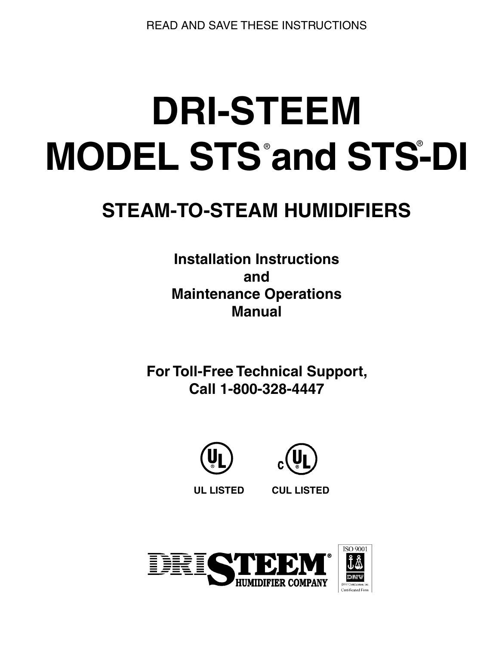**READ AND SAVE THESE INSTRUCTIONS** 

# **DRI-STEEM MODEL STS and STS-DI**

## **STEAM-TO-STEAM HUMIDIFIERS**

**Installation Instructions** and **Maintenance Operations Manual** 

**For Toll-Free Technical Support,** Call 1-800-328-4447





**UL LISTED** 

**CUL LISTED** 

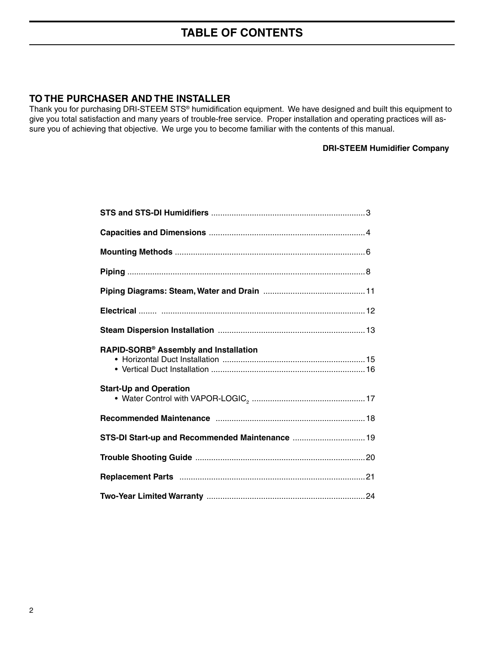## **TABLE OF CONTENTS**

## TO THE PURCHASER AND THE INSTALLER

Thank you for purchasing DRI-STEEM STS® humidification equipment. We have designed and built this equipment to give you total satisfaction and many years of trouble-free service. Proper installation and operating practices will assure you of achieving that objective. We urge you to become familiar with the contents of this manual.

#### **DRI-STEEM Humidifier Company**

| RAPID-SORB® Assembly and Installation           |  |
|-------------------------------------------------|--|
| <b>Start-Up and Operation</b>                   |  |
|                                                 |  |
| STS-DI Start-up and Recommended Maintenance  19 |  |
|                                                 |  |
|                                                 |  |
|                                                 |  |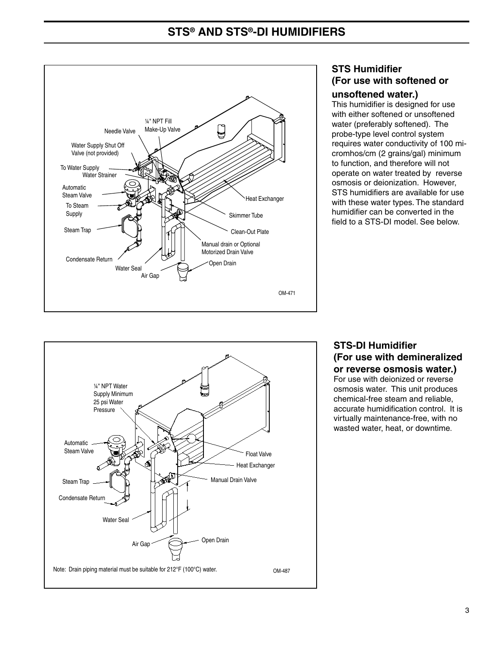## **STS® AND STS®-DI HUMIDIFIERS**



## **STS Humidifier** (For use with softened or unsoftened water.)

This humidifier is designed for use with either softened or unsoftened water (preferably softened). The probe-type level control system requires water conductivity of 100 micromhos/cm (2 grains/gal) minimum to function, and therefore will not operate on water treated by reverse osmosis or deionization. However. STS humidifiers are available for use with these water types. The standard humidifier can be converted in the field to a STS-DI model. See below.



## **STS-DI Humidifier** (For use with demineralized or reverse osmosis water.)

For use with deionized or reverse osmosis water. This unit produces chemical-free steam and reliable, accurate humidification control. It is virtually maintenance-free, with no wasted water, heat, or downtime.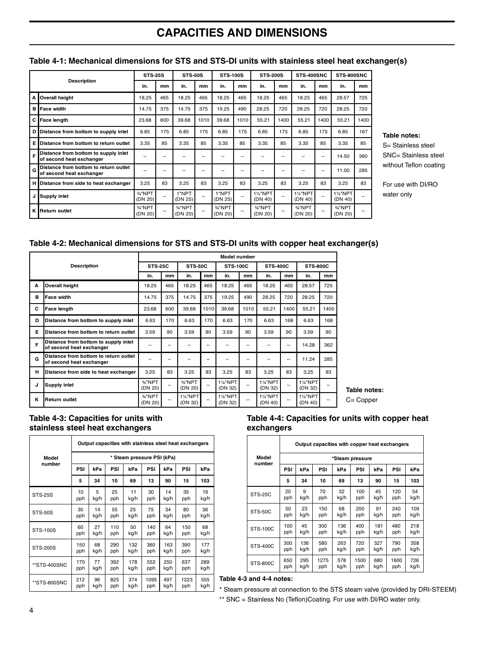## **CAPACITIES AND DIMENSIONS**

|   |                                                                   |                    | <b>STS-25S</b><br><b>STS-50S</b> |                    |                          | <b>STS-100S</b>    |      | <b>STS-200S</b>    |      | STS-400SNC               |      | STS-800SNC          |      |
|---|-------------------------------------------------------------------|--------------------|----------------------------------|--------------------|--------------------------|--------------------|------|--------------------|------|--------------------------|------|---------------------|------|
|   | <b>Description</b>                                                | in.                | mm                               | in.                | mm                       | in.                | mm   | in.                | mm   | in.                      | mm   | in.                 | mm   |
| А | Overall height                                                    | 18.25              | 465                              | 18.25              | 465                      | 18.25              | 465  | 18.25              | 465  | 18.25                    | 465  | 28.57               | 725  |
| в | <b>Face width</b>                                                 | 14.75              | 375                              | 14.75              | 375                      | 19.25              | 490  | 28.25              | 720  | 28.25                    | 720  | 28.25               | 720  |
| С | <b>Face length</b>                                                | 23.68              | 600                              | 39.68              | 1010                     | 39.68              | 1010 | 55.21              | 1400 | 55.21                    | 1400 | 55.21               | 1400 |
| D | Distance from bottom to supply inlet                              | 6.85               | 175                              | 6.85               | 175                      | 6.85               | 175  | 6.85               | 175  | 6.85                     | 175  | 6.85                | 167  |
| Е | Distance from bottom to return outlet                             | 3.35               | 85                               | 3.35               | 85                       | 3.35               | 85   | 3.35               | 85   | 3.35                     | 85   | 3.35                | 85   |
| F | Distance from bottom to supply inlet<br>of second heat exchanger  | --                 |                                  | ٠.                 | --                       |                    |      |                    |      |                          | --   | 14.50               | 360  |
| G | Distance from bottom to return outlet<br>of second heat exchanger | --                 | --                               | --                 | $-$                      | --                 | --   |                    | --   |                          | --   | 11.00               | 285  |
| н | Distance from side to heat exchanger                              | 3.25               | 83                               | 3.25               | 83                       | 3.25               | 83   | 3.25               | 83   | 3.25                     | 83   | 3.25                | 83   |
|   | <b>Supply inlet</b>                                               | 3/4"NPT<br>(DN 20) |                                  | 1"NPT<br>(DN 25)   | --                       | 1"NPT<br>(DN 25)   |      | 1%"NPT<br>(DN 40)  |      | <b>1%"NPT</b><br>(DN 40) | --   | 11/2"NPT<br>(DN 40) |      |
| ĸ | <b>Return outlet</b>                                              | 3/4"NPT<br>(DN 20) |                                  | 3/4"NPT<br>(DN 20) | $\overline{\phantom{a}}$ | 3/4"NPT<br>(DN 20) |      | 3/4"NPT<br>(DN 20) | --   | 3/4"NPT<br>(DN 20)       | --   | 3/4"NPT<br>(DN 20)  |      |

#### Table 4-1: Mechanical dimensions for STS and STS-DI units with stainless steel heat exchanger(s)

#### Table notes:

S= Stainless steel SNC= Stainless steel without Teflon coating

For use with DI/RO water only

#### Table 4-2: Mechanical dimensions for STS and STS-DI units with copper heat exchanger(s)

|   |                                                                   | <b>Model number</b> |                |                                  |                |                                  |                 |                          |                 |                          |                 |
|---|-------------------------------------------------------------------|---------------------|----------------|----------------------------------|----------------|----------------------------------|-----------------|--------------------------|-----------------|--------------------------|-----------------|
|   | <b>Description</b>                                                |                     | <b>STS-25C</b> |                                  | <b>STS-50C</b> |                                  | <b>STS-100C</b> |                          | <b>STS-400C</b> |                          | <b>STS-800C</b> |
|   |                                                                   | in.                 | mm             | in.                              | mm             | in.                              | mm              | in.                      | mm              | in.                      | mm.             |
| A | Overall height                                                    | 18.25               | 465            | 18.25                            | 465            | 18.25                            | 465             | 18.25                    | 465             | 28.57                    | 725             |
| B | <b>Face width</b>                                                 | 14.75               | 375            | 14.75                            | 375            | 19.25                            | 490             | 28.25                    | 720             | 28.25                    | 720             |
| C | Face length                                                       | 23.68               | 600            | 39.68                            | 1010           | 39.68                            | 1010            | 55.21                    | 1400            | 55.21                    | 1400            |
| D | Distance from bottom to supply inlet                              | 6.63                | 170            | 6.63                             | 170            | 6.63                             | 170             | 6.63                     | 168             | 6.63                     | 168             |
| E | Distance from bottom to return outlet                             | 3.59                | 90             | 3.59                             | 90             | 3.59                             | 90              | 3.59                     | 90              | 3.59                     | 90              |
| F | Distance from bottom to supply inlet<br>of second heat exchanger  | --                  | --             | --                               | --             | --                               | --              | --                       | $- -$           | 14.28                    | 362             |
| G | Distance from bottom to return outlet<br>of second heat exchanger | --                  | --             | --                               | --             | --                               | --              | --                       | --              | 11.24                    | 285             |
| н | Distance from side to heat exchanger                              | 3.25                | 83             | 3.25                             | 83             | 3.25                             | 83              | 3.25                     | 83              | 3.25                     | 83              |
| J | Supply inlet                                                      | 3/4"NPT<br>(DN 20)  | --             | 3/4"NPT<br>(DN 20)               | --             | <b>1%"NPT</b><br>(DN 32)         | --              | <b>1%"NPT</b><br>(DN 32) | $- -$           | <b>1%"NPT</b><br>(DN 32) | --              |
| ĸ | <b>Return outlet</b>                                              | 3/4"NPT<br>(DN 20)  |                | 11/ <sub>4</sub> "NPT<br>(DN 32) |                | 11/ <sub>4</sub> "NPT<br>(DN 32) | --              | <b>1%"NPT</b><br>(DN 40) | $- -$           | 1%"NPT<br>(DN 40)        | --              |

Table notes: C= Copper

#### Table 4-3: Capacities for units with stainless steel heat exchangers

|                 | Output capacities with stainless steel heat exchangers |      |     |      |      |      |      |      |  |  |
|-----------------|--------------------------------------------------------|------|-----|------|------|------|------|------|--|--|
| Model           | * Steam pressure PSI (kPa)                             |      |     |      |      |      |      |      |  |  |
| number          | PSI                                                    | kPa  | PSI | kPa  | PSI  | kPa  | PSI  | kPa  |  |  |
|                 | 5                                                      | 34   | 10  | 69   | 13   | 90   | 15   | 103  |  |  |
| <b>STS-25S</b>  | 10                                                     | 5    | 25  | 11   | 30   | 14   | 35   | 16   |  |  |
|                 | pph                                                    | kg/h | pph | kg/h | pph  | kg/h | pph  | kg/h |  |  |
| <b>STS-50S</b>  | 30                                                     | 14   | 55  | 25   | 75   | 34   | 80   | 36   |  |  |
|                 | pph                                                    | kg/h | pph | kg/h | pph  | kg/h | pph  | kg/h |  |  |
| <b>STS-100S</b> | 60                                                     | 27   | 110 | 50   | 140  | 64   | 150  | 68   |  |  |
|                 | pph                                                    | kg/h | pph | kg/h | pph  | kg/h | pph  | kg/h |  |  |
| <b>STS-200S</b> | 150                                                    | 68   | 290 | 132  | 360  | 163  | 390  | 177  |  |  |
|                 | pph                                                    | kg/h | pph | kg/h | pph  | kg/h | pph  | kg/h |  |  |
| **STS-400SNC    | 170                                                    | 77   | 392 | 178  | 552  | 250  | 637  | 289  |  |  |
|                 | pph                                                    | kg/h | pph | kg/h | pph  | kg/h | pph  | kg/h |  |  |
| **STS-800SNC    | 212                                                    | 96   | 825 | 374  | 1095 | 497  | 1223 | 555  |  |  |
|                 | pph                                                    | kg/h | pph | kg/h | pph  | kg/h | pph  | kg/h |  |  |

#### Table 4-4: Capacities for units with copper heat exchangers

|                 | Output capacities with copper heat exchangers |                 |      |      |      |      |      |      |  |  |  |
|-----------------|-----------------------------------------------|-----------------|------|------|------|------|------|------|--|--|--|
| Model           |                                               | *Steam pressure |      |      |      |      |      |      |  |  |  |
| number          | PSI                                           | kPa             | PSI  | kPa  | PSI  | kPa  | PSI  | kPa  |  |  |  |
|                 | 5                                             | 34              | 10   | 69   | 13   | 90   | 15   | 103  |  |  |  |
| <b>STS-25C</b>  | 20                                            | 9               | 70   | 32   | 100  | 45   | 120  | 54   |  |  |  |
|                 | pph                                           | kg/h            | pph  | kg/h | pph  | kg/h | pph  | kg/h |  |  |  |
| <b>STS-50C</b>  | 50                                            | 23              | 150  | 68   | 200  | 91   | 240  | 109  |  |  |  |
|                 | pph                                           | kg/h            | pph  | kg/h | pph  | kg/h | pph  | kg/h |  |  |  |
| <b>STS-100C</b> | 100                                           | 45              | 300  | 136  | 400  | 181  | 480  | 218  |  |  |  |
|                 | pph                                           | kg/h            | pph  | kg/h | pph  | kg/h | pph  | kg/h |  |  |  |
| <b>STS-400C</b> | 300                                           | 136             | 580  | 263  | 720  | 327  | 790  | 358  |  |  |  |
|                 | pph                                           | kg/h            | pph  | kg/h | pph  | kg/h | pph  | kg/h |  |  |  |
| <b>STS-800C</b> | 650                                           | 295             | 1275 | 578  | 1500 | 680  | 1600 | 726  |  |  |  |
|                 | pph                                           | kg/h            | pph  | kg/h | pph  | kg/h | pph  | kg/h |  |  |  |

#### Table 4-3 and 4-4 notes:

\* Steam pressure at connection to the STS steam valve (provided by DRI-STEEM) \*\* SNC = Stainless No (Teflon)Coating. For use with DI/RO water only.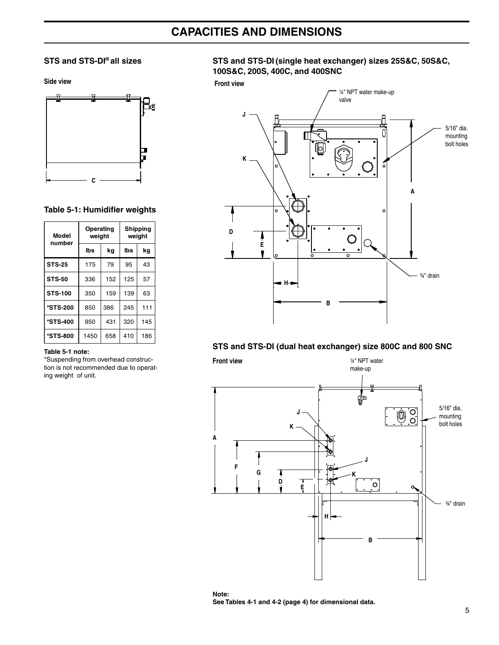## **CAPACITIES AND DIMENSIONS**

#### STS and STS-DI® all sizes

Side view



#### Table 5-1: Humidifier weights

| <b>Model</b><br>number | Operating<br>weight |     | Shipping<br>weight |     |  |
|------------------------|---------------------|-----|--------------------|-----|--|
|                        | lbs                 | kg  | lbs                | kg  |  |
| <b>STS-25</b>          | 175                 | 79  | 95                 | 43  |  |
| <b>STS-50</b>          | 336                 | 152 | 125                | 57  |  |
| <b>STS-100</b>         | 350                 | 159 | 139                | 63  |  |
| *STS-200               | 850                 | 386 | 245                | 111 |  |
| *STS-400               | 950                 | 431 | 320                | 145 |  |
| *STS-800               | 1450                | 658 | 410                | 186 |  |

#### Table 5-1 note:

\*Suspending from overhead construction is not recommended due to operating weight of unit.

#### STS and STS-DI (single heat exchanger) sizes 25S&C, 50S&C, 100S&C, 200S, 400C, and 400SNC

**Front view** 



#### STS and STS-DI (dual heat exchanger) size 800C and 800 SNC



Note: See Tables 4-1 and 4-2 (page 4) for dimensional data.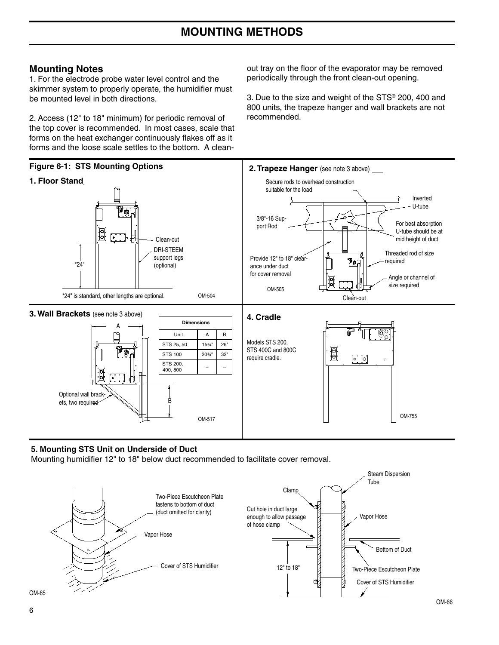#### **Mounting Notes**

1. For the electrode probe water level control and the skimmer system to properly operate, the humidifier must be mounted level in both directions.

2. Access (12" to 18" minimum) for periodic removal of the top cover is recommended. In most cases, scale that forms on the heat exchanger continuously flakes off as it forms and the loose scale settles to the bottom. A cleanout tray on the floor of the evaporator may be removed periodically through the front clean-out opening.

3. Due to the size and weight of the STS® 200, 400 and 800 units, the trapeze hanger and wall brackets are not recommended



#### 5. Mounting STS Unit on Underside of Duct

Mounting humidifier 12" to 18" below duct recommended to facilitate cover removal.

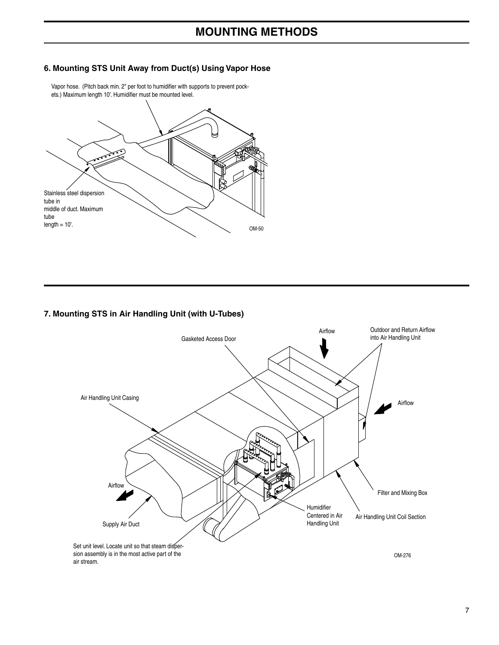## **MOUNTING METHODS**

#### 6. Mounting STS Unit Away from Duct(s) Using Vapor Hose

Stainless steel dispersion tube in middle of duct. Maximum tube length  $= 10<sup>1</sup>$ . OM-50

Vapor hose. (Pitch back min. 2" per foot to humidifier with supports to prevent pockets.) Maximum length 10'. Humidifier must be mounted level.

#### 7. Mounting STS in Air Handling Unit (with U-Tubes)

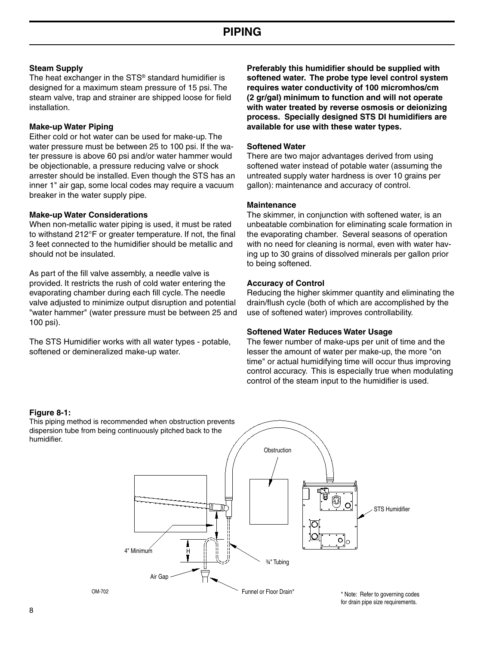#### **Steam Supply**

The heat exchanger in the STS<sup>®</sup> standard humidifier is designed for a maximum steam pressure of 15 psi. The steam valve, trap and strainer are shipped loose for field installation.

#### **Make-up Water Piping**

Either cold or hot water can be used for make-up. The water pressure must be between 25 to 100 psi. If the water pressure is above 60 psi and/or water hammer would be objectionable, a pressure reducing valve or shock arrester should be installed. Even though the STS has an inner 1" air gap, some local codes may require a vacuum breaker in the water supply pipe.

#### **Make-up Water Considerations**

When non-metallic water piping is used, it must be rated to withstand 212°F or greater temperature. If not, the final 3 feet connected to the humidifier should be metallic and should not be insulated

As part of the fill valve assembly, a needle valve is provided. It restricts the rush of cold water entering the evaporating chamber during each fill cycle. The needle valve adjusted to minimize output disruption and potential "water hammer" (water pressure must be between 25 and 100 psi).

The STS Humidifier works with all water types - potable, softened or demineralized make-up water.

Preferably this humidifier should be supplied with softened water. The probe type level control system requires water conductivity of 100 micromhos/cm (2 gr/gal) minimum to function and will not operate with water treated by reverse osmosis or deionizing process. Specially designed STS DI humidifiers are available for use with these water types.

#### **Softened Water**

There are two major advantages derived from using softened water instead of potable water (assuming the untreated supply water hardness is over 10 grains per gallon): maintenance and accuracy of control.

#### **Maintenance**

The skimmer, in conjunction with softened water, is an unbeatable combination for eliminating scale formation in the evaporating chamber. Several seasons of operation with no need for cleaning is normal, even with water having up to 30 grains of dissolved minerals per gallon prior to being softened.

#### **Accuracy of Control**

Reducing the higher skimmer quantity and eliminating the drain/flush cycle (both of which are accomplished by the use of softened water) improves controllability.

#### **Softened Water Reduces Water Usage**

The fewer number of make-ups per unit of time and the lesser the amount of water per make-up, the more "on time" or actual humidifying time will occur thus improving control accuracy. This is especially true when modulating control of the steam input to the humidifier is used.

#### Figure 8-1:

This piping method is recommended when obstruction prevents dispersion tube from being continuously pitched back to the humidifier.

OM-702

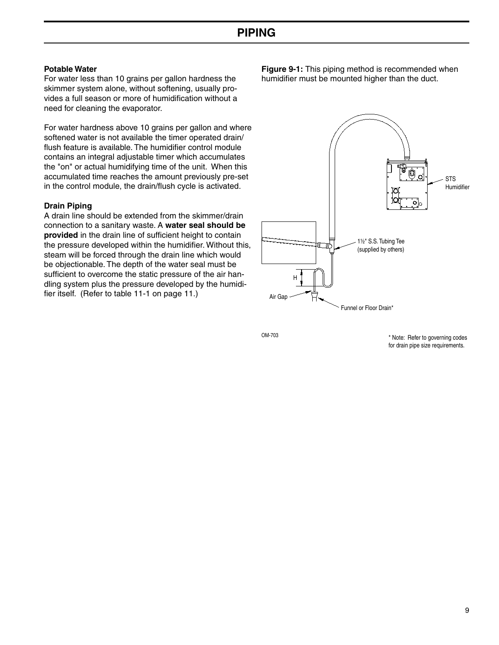#### **Potable Water**

For water less than 10 grains per gallon hardness the skimmer system alone, without softening, usually provides a full season or more of humidification without a need for cleaning the evaporator.

For water hardness above 10 grains per gallon and where softened water is not available the timer operated drain/ flush feature is available. The humidifier control module contains an integral adjustable timer which accumulates the "on" or actual humidifying time of the unit. When this accumulated time reaches the amount previously pre-set in the control module, the drain/flush cycle is activated.

#### **Drain Piping**

A drain line should be extended from the skimmer/drain connection to a sanitary waste. A water seal should be provided in the drain line of sufficient height to contain the pressure developed within the humidifier. Without this, steam will be forced through the drain line which would be objectionable. The depth of the water seal must be sufficient to overcome the static pressure of the air handling system plus the pressure developed by the humidifier itself. (Refer to table 11-1 on page 11.)

Figure 9-1: This piping method is recommended when humidifier must be mounted higher than the duct.



OM-703

\* Note: Refer to governing codes for drain pipe size requirements.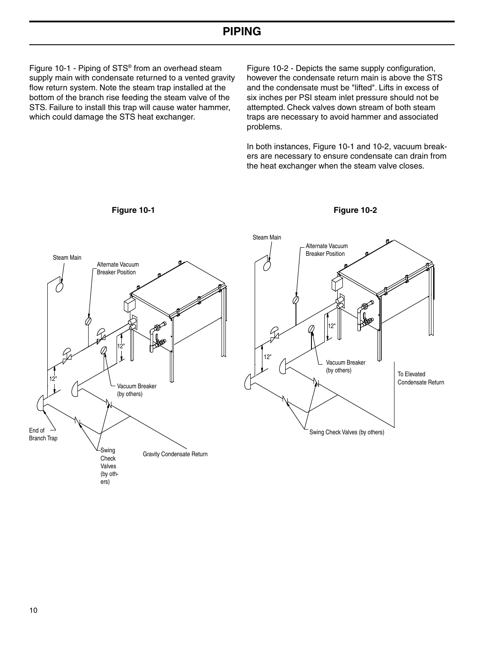Figure 10-1 - Piping of STS<sup>®</sup> from an overhead steam supply main with condensate returned to a vented gravity flow return system. Note the steam trap installed at the bottom of the branch rise feeding the steam valve of the STS. Failure to install this trap will cause water hammer, which could damage the STS heat exchanger.

Figure 10-2 - Depicts the same supply configuration, however the condensate return main is above the STS and the condensate must be "lifted". Lifts in excess of six inches per PSI steam inlet pressure should not be attempted. Check valves down stream of both steam traps are necessary to avoid hammer and associated problems.

In both instances, Figure 10-1 and 10-2, vacuum breakers are necessary to ensure condensate can drain from the heat exchanger when the steam valve closes.





Figure 10-2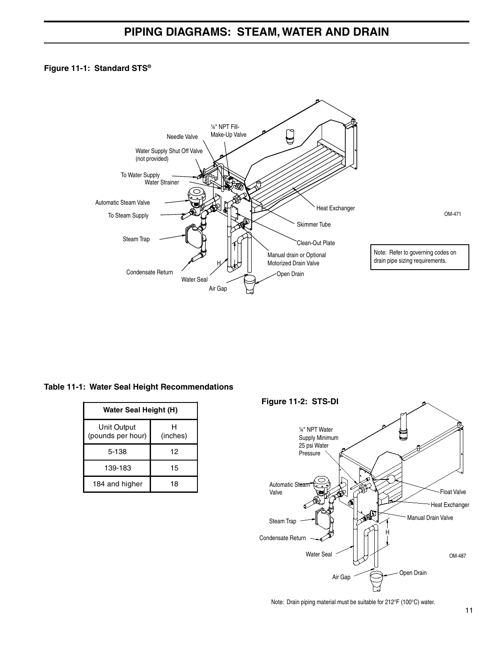#### Figure 11-1: Standard STS®



#### Table 11-1: Water Seal Height Recommendations

| <b>Water Seal Height (H)</b>     |               |  |  |  |  |  |
|----------------------------------|---------------|--|--|--|--|--|
| Unit Output<br>(pounds per hour) | н<br>(inches) |  |  |  |  |  |
| 5-138                            | 12            |  |  |  |  |  |
| 139-183                          | 15            |  |  |  |  |  |
| 184 and higher                   | 18            |  |  |  |  |  |



Note: Drain piping material must be suitable for 212°F (100°C) water.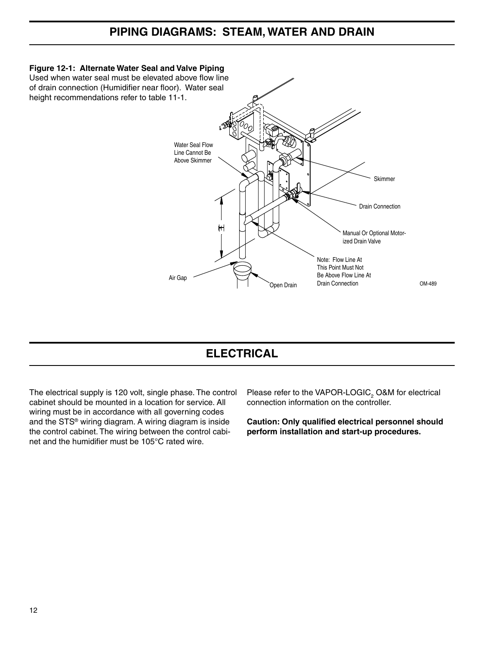## PIPING DIAGRAMS: STEAM, WATER AND DRAIN



## **ELECTRICAL**

The electrical supply is 120 volt, single phase. The control cabinet should be mounted in a location for service. All wiring must be in accordance with all governing codes and the STS<sup>®</sup> wiring diagram. A wiring diagram is inside the control cabinet. The wiring between the control cabinet and the humidifier must be 105°C rated wire

Please refer to the VAPOR-LOGIC, O&M for electrical connection information on the controller.

Caution: Only qualified electrical personnel should perform installation and start-up procedures.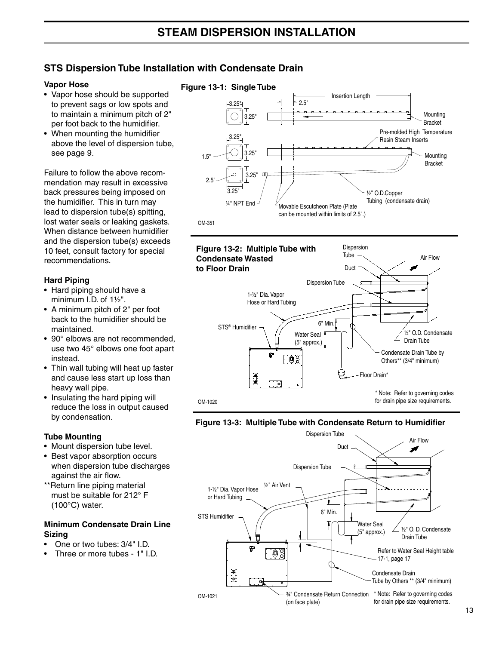## **STS Dispersion Tube Installation with Condensate Drain**

#### **Vapor Hose**

- Vapor hose should be supported to prevent sags or low spots and to maintain a minimum pitch of 2" per foot back to the humidifier.
- When mounting the humidifier above the level of dispersion tube, see page 9.

Failure to follow the above recommendation may result in excessive back pressures being imposed on the humidifier. This in turn may lead to dispersion tube(s) spitting, lost water seals or leaking gaskets. When distance between humidifier and the dispersion tube(s) exceeds 10 feet, consult factory for special recommendations.

#### **Hard Piping**

- Hard piping should have a minimum I.D. of 11/2".
- A minimum pitch of 2" per foot back to the humidifier should be maintained.
- 90° elbows are not recommended, use two 45° elbows one foot apart instead.
- Thin wall tubing will heat up faster and cause less start up loss than heavy wall pipe.
- Insulating the hard piping will reduce the loss in output caused by condensation.

#### **Tube Mounting**

- Mount dispersion tube level.
- Best vapor absorption occurs when dispersion tube discharges against the air flow.
- \*\* Return line piping material must be suitable for 212° F  $(100^{\circ}C)$  water.

#### **Minimum Condensate Drain Line Sizing**

- One or two tubes: 3/4" I.D.
- Three or more tubes 1" I.D.

#### Figure 13-1: Single Tube Insertion Length  $2.5^{\circ}$ Mountina  $3.25'$ **Bracket** Pre-molded High Temperature Resin Steam Inserts Mounting  $1.5'$ **Bracket**  $3.25$ 1/<sub>2</sub>" O.D.Copper Tubing (condensate drain) 1/4" NPT End Movable Escutcheon Plate (Plate can be mounted within limits of 2.5".) **OM-351**



#### Figure 13-3: Multiple Tube with Condensate Return to Humidifier

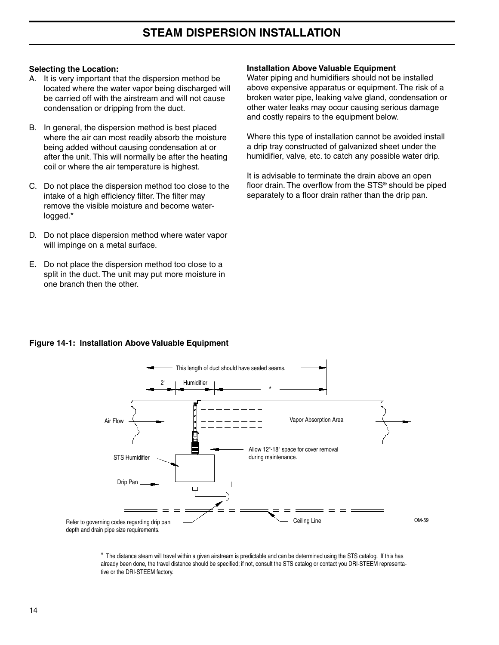#### **Selecting the Location:**

- A. It is very important that the dispersion method be located where the water vapor being discharged will be carried off with the airstream and will not cause condensation or dripping from the duct.
- B. In general, the dispersion method is best placed where the air can most readily absorb the moisture being added without causing condensation at or after the unit. This will normally be after the heating coil or where the air temperature is highest.
- C. Do not place the dispersion method too close to the intake of a high efficiency filter. The filter may remove the visible moisture and become waterlogged.\*
- D. Do not place dispersion method where water vapor will impinge on a metal surface.
- E. Do not place the dispersion method too close to a split in the duct. The unit may put more moisture in one branch then the other.

#### **Installation Above Valuable Equipment**

Water piping and humidifiers should not be installed above expensive apparatus or equipment. The risk of a broken water pipe, leaking valve gland, condensation or other water leaks may occur causing serious damage and costly repairs to the equipment below.

Where this type of installation cannot be avoided install a drip tray constructed of galvanized sheet under the humidifier, valve, etc. to catch any possible water drip.

It is advisable to terminate the drain above an open floor drain. The overflow from the STS® should be piped separately to a floor drain rather than the drip pan.



#### Figure 14-1: Installation Above Valuable Equipment

\* The distance steam will travel within a given airstream is predictable and can be determined using the STS catalog. If this has already been done, the travel distance should be specified; if not, consult the STS catalog or contact you DRI-STEEM representative or the DRI-STEEM factory.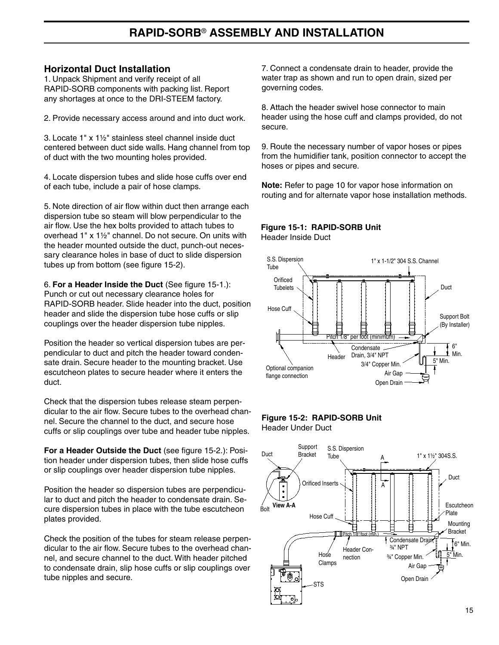#### **Horizontal Duct Installation**

1. Unpack Shipment and verify receipt of all RAPID-SORB components with packing list. Report any shortages at once to the DRI-STEEM factory.

2. Provide necessary access around and into duct work.

3. Locate 1" x 11/2" stainless steel channel inside duct centered between duct side walls. Hang channel from top of duct with the two mounting holes provided.

4. Locate dispersion tubes and slide hose cuffs over end of each tube, include a pair of hose clamps.

5. Note direction of air flow within duct then arrange each dispersion tube so steam will blow perpendicular to the air flow. Use the hex bolts provided to attach tubes to overhead 1" x 11/2" channel. Do not secure. On units with the header mounted outside the duct, punch-out necessary clearance holes in base of duct to slide dispersion tubes up from bottom (see figure 15-2).

6. For a Header Inside the Duct (See figure 15-1.): Punch or cut out necessary clearance holes for RAPID-SORB header. Slide header into the duct, position header and slide the dispersion tube hose cuffs or slip couplings over the header dispersion tube nipples.

Position the header so vertical dispersion tubes are perpendicular to duct and pitch the header toward condensate drain. Secure header to the mounting bracket. Use escutcheon plates to secure header where it enters the duct.

Check that the dispersion tubes release steam perpendicular to the air flow. Secure tubes to the overhead channel. Secure the channel to the duct, and secure hose cuffs or slip couplings over tube and header tube nipples.

For a Header Outside the Duct (see figure 15-2.): Position header under dispersion tubes, then slide hose cuffs or slip couplings over header dispersion tube nipples.

Position the header so dispersion tubes are perpendicular to duct and pitch the header to condensate drain. Secure dispersion tubes in place with the tube escutcheon plates provided.

Check the position of the tubes for steam release perpendicular to the air flow. Secure tubes to the overhead channel, and secure channel to the duct. With header pitched to condensate drain, slip hose cuffs or slip couplings over tube nipples and secure.

7. Connect a condensate drain to header, provide the water trap as shown and run to open drain, sized per governing codes.

8. Attach the header swivel hose connector to main header using the hose cuff and clamps provided, do not secure.

9. Route the necessary number of vapor hoses or pipes from the humidifier tank, position connector to accept the hoses or pipes and secure.

Note: Refer to page 10 for vapor hose information on routing and for alternate vapor hose installation methods.

## Figure 15-1: RAPID-SORB Unit





#### Figure 15-2: RAPID-SORB Unit **Header Under Duct**

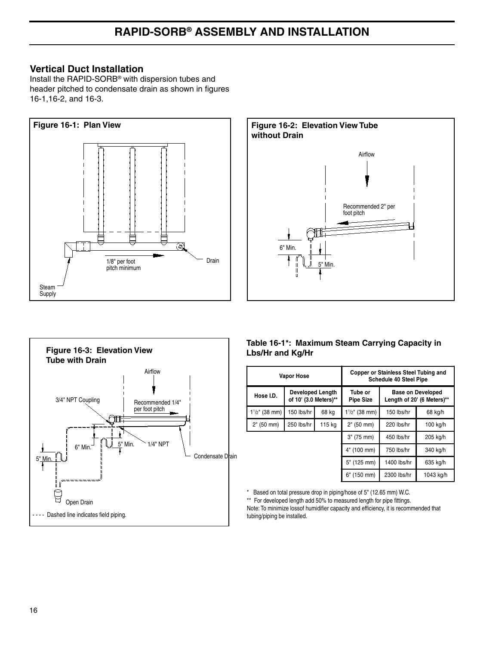### **Vertical Duct Installation**

Install the RAPID-SORB<sup>®</sup> with dispersion tubes and header pitched to condensate drain as shown in figures 16-1, 16-2, and 16-3.







#### Table 16-1\*: Maximum Steam Carrying Capacity in Lbs/Hr and Kg/Hr

|                          | <b>Vapor Hose</b>                                |             | <b>Copper or Stainless Steel Tubing and</b><br><b>Schedule 40 Steel Pipe</b> |                                                        |           |  |  |
|--------------------------|--------------------------------------------------|-------------|------------------------------------------------------------------------------|--------------------------------------------------------|-----------|--|--|
| Hose I.D.                | <b>Developed Length</b><br>of 10' (3.0 Meters)** |             | Tube or<br><b>Pipe Size</b>                                                  | <b>Base on Developed</b><br>Length of 20' (6 Meters)** |           |  |  |
| $1\frac{1}{2}$ " (38 mm) | 150 lbs/hr                                       | 68 kg       | $1\frac{1}{2}$ " (38 mm)                                                     | 150 lbs/hr                                             | 68 kg/h   |  |  |
| 2" (50 mm)               | 250 lbs/hr<br>115 kg                             |             | 2" (50 mm)                                                                   | 220 lbs/hr                                             | 100 kg/h  |  |  |
|                          |                                                  | 3" (75 mm)  | 450 lbs/hr                                                                   | 205 kg/h                                               |           |  |  |
|                          |                                                  |             | 4" (100 mm)                                                                  | 750 lbs/hr                                             | 340 kg/h  |  |  |
|                          |                                                  | 5" (125 mm) | 1400 lbs/hr                                                                  | 635 kg/h                                               |           |  |  |
|                          |                                                  |             | 6" (150 mm)                                                                  | 2300 lbs/hr                                            | 1043 kg/h |  |  |

\* Based on total pressure drop in piping/hose of 5" (12.65 mm) W.C.

\*\* For developed length add 50% to measured length for pipe fittings.

Note: To minimize lossof humidifier capacity and efficiency, it is recommended that tubing/piping be installed.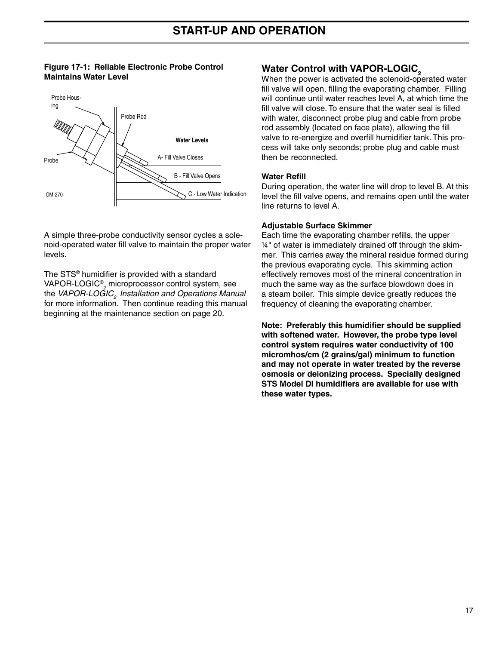#### Figure 17-1: Reliable Electronic Probe Control **Maintains Water Level**



A simple three-probe conductivity sensor cycles a solenoid-operated water fill valve to maintain the proper water levels

The STS<sup>®</sup> humidifier is provided with a standard VAPOR-LOGIC<sup>®</sup>, microprocessor control system, see the VAPOR-LOGIC, Installation and Operations Manual for more information. Then continue reading this manual beginning at the maintenance section on page 20.

## **Water Control with VAPOR-LOGIC,**

When the power is activated the solenoid-operated water fill valve will open, filling the evaporating chamber. Filling will continue until water reaches level A, at which time the fill valve will close. To ensure that the water seal is filled with water, disconnect probe plug and cable from probe rod assembly (located on face plate), allowing the fill valve to re-energize and overfill humidifier tank. This process will take only seconds; probe plug and cable must then be reconnected.

#### **Water Refill**

During operation, the water line will drop to level B. At this level the fill valve opens, and remains open until the water line returns to level A.

#### **Adiustable Surface Skimmer**

Each time the evaporating chamber refills, the upper 1/4" of water is immediately drained off through the skimmer. This carries away the mineral residue formed during the previous evaporating cycle. This skimming action effectively removes most of the mineral concentration in much the same way as the surface blowdown does in a steam boiler. This simple device greatly reduces the frequency of cleaning the evaporating chamber.

Note: Preferably this humidifier should be supplied with softened water. However, the probe type level control system requires water conductivity of 100 micromhos/cm (2 grains/gal) minimum to function and may not operate in water treated by the reverse osmosis or deionizing process. Specially designed STS Model DI humidifiers are available for use with these water types.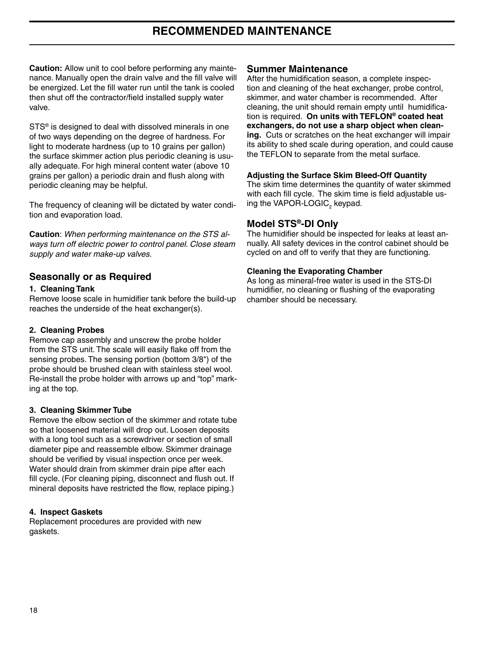## **RECOMMENDED MAINTENANCE**

**Caution:** Allow unit to cool before performing any maintenance. Manually open the drain valve and the fill valve will be energized. Let the fill water run until the tank is cooled then shut off the contractor/field installed supply water valve.

STS<sup>®</sup> is designed to deal with dissolved minerals in one of two ways depending on the degree of hardness. For light to moderate hardness (up to 10 grains per gallon) the surface skimmer action plus periodic cleaning is usually adequate. For high mineral content water (above 10 grains per gallon) a periodic drain and flush along with periodic cleaning may be helpful.

The frequency of cleaning will be dictated by water condition and evaporation load.

**Caution:** When performing maintenance on the STS always turn off electric power to control panel. Close steam supply and water make-up valves.

#### **Seasonally or as Required**

#### 1. Cleaning Tank

Remove loose scale in humidifier tank before the build-up reaches the underside of the heat exchanger(s).

#### 2. Cleaning Probes

Remove cap assembly and unscrew the probe holder from the STS unit. The scale will easily flake off from the sensing probes. The sensing portion (bottom 3/8") of the probe should be brushed clean with stainless steel wool. Re-install the probe holder with arrows up and "top" marking at the top.

#### 3. Cleaning Skimmer Tube

Remove the elbow section of the skimmer and rotate tube so that loosened material will drop out. Loosen deposits with a long tool such as a screwdriver or section of small diameter pipe and reassemble elbow. Skimmer drainage should be verified by visual inspection once per week. Water should drain from skimmer drain pipe after each fill cycle. (For cleaning piping, disconnect and flush out. If mineral deposits have restricted the flow, replace piping.)

#### 4. Inspect Gaskets

Replacement procedures are provided with new gaskets.

#### **Summer Maintenance**

After the humidification season, a complete inspection and cleaning of the heat exchanger, probe control, skimmer, and water chamber is recommended. After cleaning, the unit should remain empty until humidification is required. On units with TEFLON<sup>®</sup> coated heat exchangers, do not use a sharp object when cleaning. Cuts or scratches on the heat exchanger will impair its ability to shed scale during operation, and could cause the TEFLON to separate from the metal surface.

#### **Adjusting the Surface Skim Bleed-Off Quantity**

The skim time determines the quantity of water skimmed with each fill cycle. The skim time is field adjustable using the VAPOR-LOGIC, keypad.

#### Model STS<sup>®</sup>-DI Only

The humidifier should be inspected for leaks at least annually. All safety devices in the control cabinet should be cycled on and off to verify that they are functioning.

#### **Cleaning the Evaporating Chamber**

As long as mineral-free water is used in the STS-DI humidifier, no cleaning or flushing of the evaporating chamber should be necessary.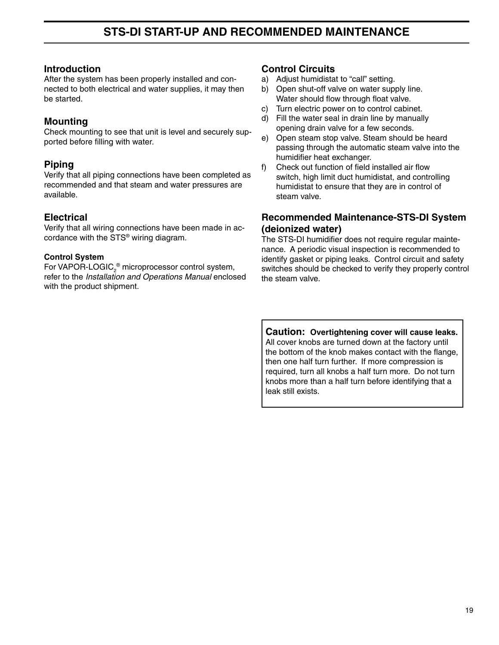#### **Introduction**

After the system has been properly installed and connected to both electrical and water supplies, it may then be started.

## **Mounting**

Check mounting to see that unit is level and securely supported before filling with water.

## **Piping**

Verify that all piping connections have been completed as recommended and that steam and water pressures are available.

### **Electrical**

Verify that all wiring connections have been made in accordance with the STS<sup>®</sup> wiring diagram.

#### **Control System**

For VAPOR-LOGIC,<sup>®</sup> microprocessor control system, refer to the Installation and Operations Manual enclosed with the product shipment.

#### **Control Circuits**

- a) Adiust humidistat to "call" setting.
- b) Open shut-off valve on water supply line. Water should flow through float valve.
- c) Turn electric power on to control cabinet.
- d) Fill the water seal in drain line by manually opening drain valve for a few seconds.
- e) Open steam stop valve. Steam should be heard passing through the automatic steam valve into the humidifier heat exchanger.
- Check out function of field installed air flow  $f$ switch, high limit duct humidistat, and controlling humidistat to ensure that they are in control of steam valve.

## **Recommended Maintenance-STS-DI System** (deionized water)

The STS-DI humidifier does not require regular maintenance. A periodic visual inspection is recommended to identify gasket or piping leaks. Control circuit and safety switches should be checked to verify they properly control the steam valve.

Caution: Overtightening cover will cause leaks. All cover knobs are turned down at the factory until the bottom of the knob makes contact with the flange, then one half turn further. If more compression is required, turn all knobs a half turn more. Do not turn knobs more than a half turn before identifying that a leak still exists.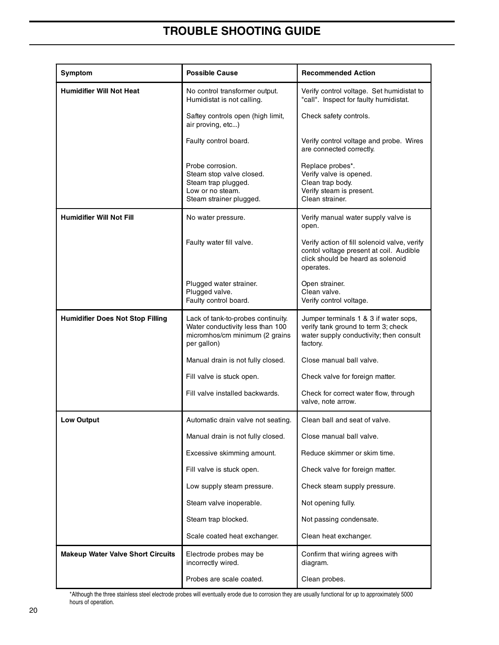## **TROUBLE SHOOTING GUIDE**

| Symptom                                  | <b>Possible Cause</b>                                                                                                   | <b>Recommended Action</b>                                                                                                                 |
|------------------------------------------|-------------------------------------------------------------------------------------------------------------------------|-------------------------------------------------------------------------------------------------------------------------------------------|
| <b>Humidifier Will Not Heat</b>          | No control transformer output.<br>Humidistat is not calling.                                                            | Verify control voltage. Set humidistat to<br>"call". Inspect for faulty humidistat.                                                       |
|                                          | Saftey controls open (high limit,<br>air proving, etc)                                                                  | Check safety controls.                                                                                                                    |
|                                          | Faulty control board.                                                                                                   | Verify control voltage and probe. Wires<br>are connected correctly.                                                                       |
|                                          | Probe corrosion.<br>Steam stop valve closed.<br>Steam trap plugged.<br>Low or no steam.<br>Steam strainer plugged.      | Replace probes*.<br>Verify valve is opened.<br>Clean trap body.<br>Verify steam is present.<br>Clean strainer.                            |
| <b>Humidifier Will Not Fill</b>          | No water pressure.                                                                                                      | Verify manual water supply valve is<br>open.                                                                                              |
|                                          | Faulty water fill valve.                                                                                                | Verify action of fill solenoid valve, verify<br>contol voltage present at coil. Audible<br>click should be heard as solenoid<br>operates. |
|                                          | Plugged water strainer.<br>Plugged valve.<br>Faulty control board.                                                      | Open strainer.<br>Clean valve.<br>Verify control voltage.                                                                                 |
| <b>Humidifier Does Not Stop Filling</b>  | Lack of tank-to-probes continuity.<br>Water conductivity less than 100<br>micromhos/cm minimum (2 grains<br>per gallon) | Jumper terminals 1 & 3 if water sops,<br>verify tank ground to term 3; check<br>water supply conductivity; then consult<br>factory.       |
|                                          | Manual drain is not fully closed.                                                                                       | Close manual ball valve.                                                                                                                  |
|                                          | Fill valve is stuck open.                                                                                               | Check valve for foreign matter.                                                                                                           |
|                                          | Fill valve installed backwards.                                                                                         | Check for correct water flow, through<br>valve, note arrow.                                                                               |
| <b>Low Output</b>                        | Automatic drain valve not seating.                                                                                      | Clean ball and seat of valve.                                                                                                             |
|                                          | Manual drain is not fully closed.                                                                                       | Close manual ball valve.                                                                                                                  |
|                                          | Excessive skimming amount.                                                                                              | Reduce skimmer or skim time.                                                                                                              |
|                                          | Fill valve is stuck open.                                                                                               | Check valve for foreign matter.                                                                                                           |
|                                          | Low supply steam pressure.                                                                                              | Check steam supply pressure.                                                                                                              |
|                                          | Steam valve inoperable.                                                                                                 | Not opening fully.                                                                                                                        |
|                                          | Steam trap blocked.                                                                                                     | Not passing condensate.                                                                                                                   |
|                                          | Scale coated heat exchanger.                                                                                            | Clean heat exchanger.                                                                                                                     |
| <b>Makeup Water Valve Short Circuits</b> | Electrode probes may be<br>incorrectly wired.                                                                           | Confirm that wiring agrees with<br>diagram.                                                                                               |
|                                          | Probes are scale coated.                                                                                                | Clean probes.                                                                                                                             |

\*Although the three stainless steel electrode probes will eventually erode due to corrosion they are usually functional for up to approximately 5000 hours of operation.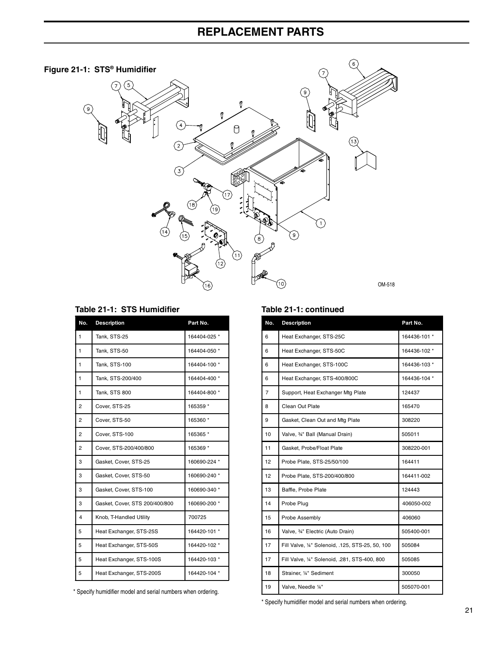## **REPLACEMENT PARTS**



#### Table 21-1: STS Humidifier

| No.                     | <b>Description</b>             | Part No.     |
|-------------------------|--------------------------------|--------------|
| 1                       | Tank, STS-25                   | 164404-025 * |
| 1                       | Tank, STS-50                   | 164404-050 * |
| 1                       | Tank, STS-100                  | 164404-100 * |
| 1                       | Tank, STS-200/400              | 164404-400 * |
| 1                       | Tank, STS 800                  | 164404-800 * |
| 2                       | Cover, STS-25                  | 165359 *     |
| 2                       | Cover, STS-50                  | 165360 *     |
| $\overline{2}$          | Cover, STS-100                 | 165365 *     |
| 2                       | Cover, STS-200/400/800         | 165369 *     |
| 3                       | Gasket, Cover, STS-25          | 160690-224 * |
| 3                       | Gasket, Cover, STS-50          | 160690-240 * |
| 3                       | Gasket, Cover, STS-100         | 160690-340 * |
| 3                       | Gasket, Cover, STS 200/400/800 | 160690-200 * |
| $\overline{\mathbf{4}}$ | Knob, T-Handled Utility        | 700725       |
| 5                       | Heat Exchanger, STS-25S        | 164420-101 * |
| 5                       | Heat Exchanger, STS-50S        | 164420-102 * |
| 5                       | Heat Exchanger, STS-100S       | 164420-103 * |
| 5                       | Heat Exchanger, STS-200S       | 164420-104 * |

\* Specify humidifier model and serial numbers when ordering.

#### Table 21-1: continued

| No. | <b>Description</b>                               | Part No.     |
|-----|--------------------------------------------------|--------------|
| 6   | Heat Exchanger, STS-25C                          | 164436-101 * |
| 6   | Heat Exchanger, STS-50C                          | 164436-102 * |
| 6   | Heat Exchanger, STS-100C                         | 164436-103 * |
| 6   | Heat Exchanger, STS-400/800C                     | 164436-104 * |
| 7   | Support, Heat Exchanger Mtg Plate                | 124437       |
| 8   | Clean Out Plate                                  | 165470       |
| 9   | Gasket, Clean Out and Mtg Plate                  | 308220       |
| 10  | Valve, 34" Ball (Manual Drain)                   | 505011       |
| 11  | Gasket, Probe/Float Plate                        | 308220-001   |
| 12  | Probe Plate, STS-25/50/100                       | 164411       |
| 12  | Probe Plate, STS-200/400/800                     | 164411-002   |
| 13  | Baffle, Probe Plate                              | 124443       |
| 14  | Probe Plug                                       | 406050-002   |
| 15  | Probe Assembly                                   | 406060       |
| 16  | Valve, 34" Electric (Auto Drain)                 | 505400-001   |
| 17  | Fill Valve, 1/4" Solenoid, .125, STS-25, 50, 100 | 505084       |
| 17  | Fill Valve, 1/4" Solenoid, .281, STS-400, 800    | 505085       |
| 18  | Strainer, 1/4" Sediment                          | 300050       |
| 19  | Valve, Needle 1/4"                               | 505070-001   |

\* Specify humidifier model and serial numbers when ordering.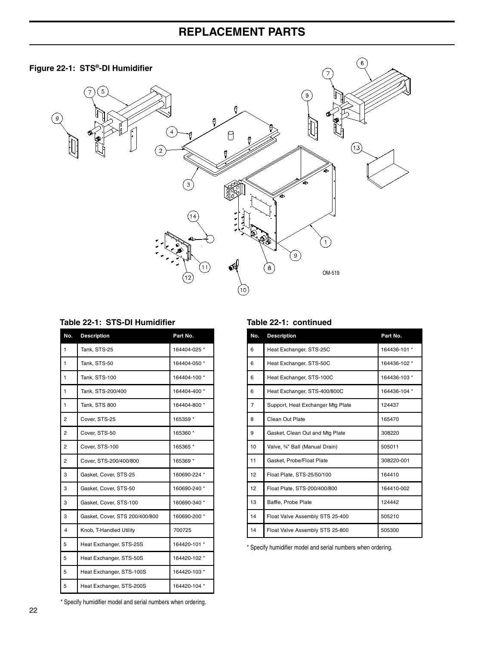## **REPLACEMENT PARTS**





#### Table 22-1: STS-DI Humidifier

| No. | <b>Description</b>             | Part No.     |
|-----|--------------------------------|--------------|
| 1   | Tank, STS-25                   | 164404-025 * |
| 1   | Tank, STS-50                   | 164404-050 * |
| 1   | Tank, STS-100                  | 164404-100 * |
| 1   | Tank, STS-200/400              | 164404-400 * |
| 1   | Tank, STS 800                  | 164404-800 * |
| 2   | Cover, STS-25                  | 165359 *     |
| 2   | Cover, STS-50                  | 165360 *     |
| 2   | Cover, STS-100                 | 165365 *     |
| 2   | Cover, STS-200/400/800         | 165369 *     |
| 3   | Gasket, Cover, STS-25          | 160690-224 * |
| 3   | Gasket, Cover, STS-50          | 160690-240 * |
| 3   | Gasket, Cover, STS-100         | 160690-340 * |
| 3   | Gasket, Cover, STS 200/400/800 | 160690-200 * |
| 4   | Knob, T-Handled Utility        | 700725       |
| 5   | Heat Exchanger, STS-25S        | 164420-101 * |
| 5   | Heat Exchanger, STS-50S        | 164420-102 * |
| 5   | Heat Exchanger, STS-100S       | 164420-103 * |
| 5   | Heat Exchanger, STS-200S       | 164420-104 * |

#### Table 22-1: continued

| No. | <b>Description</b>                | Part No.     |
|-----|-----------------------------------|--------------|
| 6   | Heat Exchanger, STS-25C           | 164436-101 * |
| 6   | Heat Exchanger, STS-50C           | 164436-102 * |
| 6   | Heat Exchanger, STS-100C          | 164436-103 * |
| 6   | Heat Exchanger, STS-400/800C      | 164436-104 * |
| 7   | Support, Heat Exchanger Mtg Plate | 124437       |
| 8   | Clean Out Plate                   | 165470       |
| 9   | Gasket, Clean Out and Mtg Plate   | 308220       |
| 10  | Valve, 34" Ball (Manual Drain)    | 505011       |
| 11  | Gasket, Probe/Float Plate         | 308220-001   |
| 12  | Float Plate, STS-25/50/100        | 164410       |
| 12  | Float Plate, STS-200/400/800      | 164410-002   |
| 13  | Baffle, Probe Plate               | 124442       |
| 14  | Float Valve Assembly STS 25-400   | 505210       |
| 14  | Float Valve Assembly STS 25-800   | 505300       |

 $6 \overline{6}$ 

\* Specify humidifier model and serial numbers when ordering.

\* Specify humidifier model and serial numbers when ordering.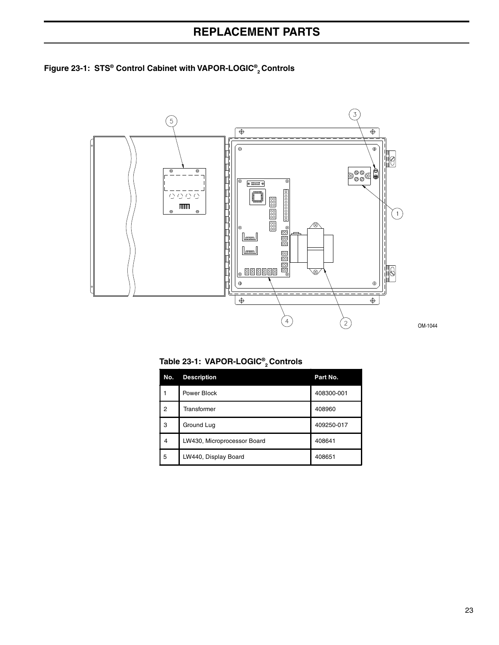## **REPLACEMENT PARTS**





OM-1044

Table 23-1: VAPOR-LOGIC®<sub>2</sub> Controls

| No. | <b>Description</b>          | Part No.   |
|-----|-----------------------------|------------|
|     | Power Block                 | 408300-001 |
| 2   | Transformer                 | 408960     |
| 3   | Ground Lug                  | 409250-017 |
| 4   | LW430, Microprocessor Board | 408641     |
| 5   | LW440, Display Board        | 408651     |